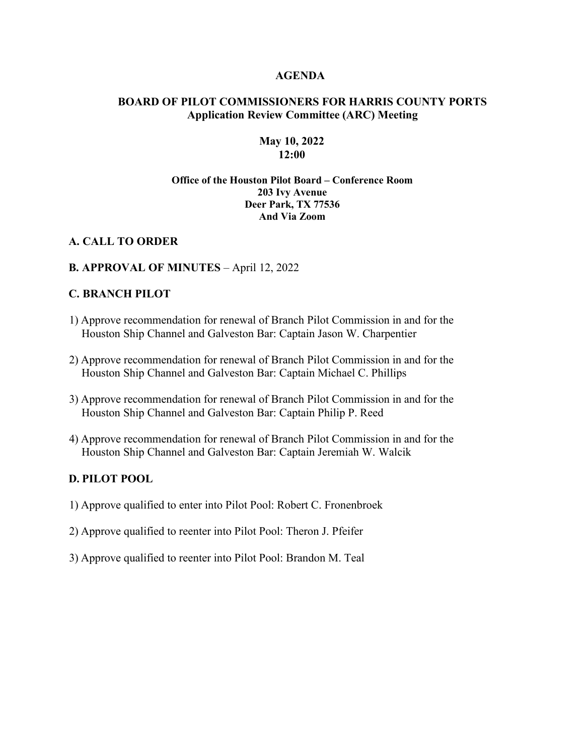#### **AGENDA**

## **BOARD OF PILOT COMMISSIONERS FOR HARRIS COUNTY PORTS Application Review Committee (ARC) Meeting**

#### **May 10, 2022 12:00**

### **Office of the Houston Pilot Board – Conference Room 203 Ivy Avenue Deer Park, TX 77536 And Via Zoom**

#### **A. CALL TO ORDER**

#### **B. APPROVAL OF MINUTES** – April 12, 2022

#### **C. BRANCH PILOT**

- 1) Approve recommendation for renewal of Branch Pilot Commission in and for the Houston Ship Channel and Galveston Bar: Captain Jason W. Charpentier
- 2) Approve recommendation for renewal of Branch Pilot Commission in and for the Houston Ship Channel and Galveston Bar: Captain Michael C. Phillips
- 3) Approve recommendation for renewal of Branch Pilot Commission in and for the Houston Ship Channel and Galveston Bar: Captain Philip P. Reed
- 4) Approve recommendation for renewal of Branch Pilot Commission in and for the Houston Ship Channel and Galveston Bar: Captain Jeremiah W. Walcik

## **D. PILOT POOL**

- 1) Approve qualified to enter into Pilot Pool: Robert C. Fronenbroek
- 2) Approve qualified to reenter into Pilot Pool: Theron J. Pfeifer
- 3) Approve qualified to reenter into Pilot Pool: Brandon M. Teal